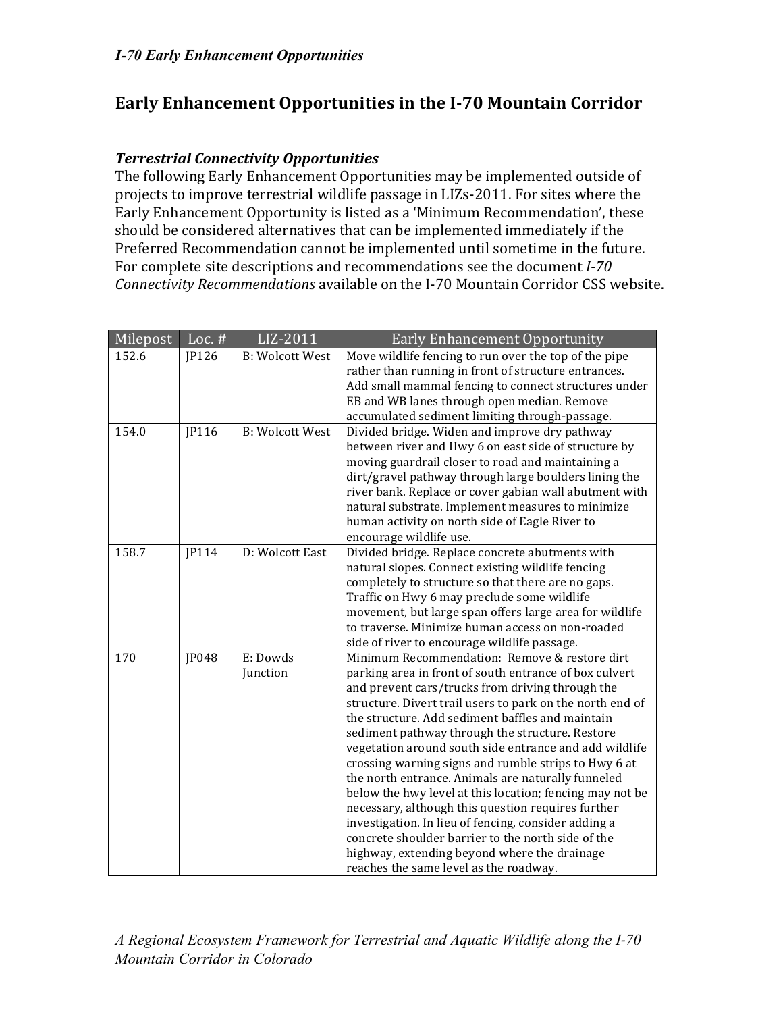# Early Enhancement Opportunities in the I-70 Mountain Corridor

### *Terrestrial)Connectivity)Opportunities*

The following Early Enhancement Opportunities may be implemented outside of projects to improve terrestrial wildlife passage in LIZs-2011. For sites where the Early Enhancement Opportunity is listed as a 'Minimum Recommendation', these should be considered alternatives that can be implemented immediately if the Preferred Recommendation cannot be implemented until sometime in the future. For complete site descriptions and recommendations see the document *I-70 Connectivity Recommendations* available on the I-70 Mountain Corridor CSS website.

| Milepost | Loc. $#$           | LIZ-2011               | <b>Early Enhancement Opportunity</b>                                                                 |
|----------|--------------------|------------------------|------------------------------------------------------------------------------------------------------|
| 152.6    | JP126              | <b>B: Wolcott West</b> | Move wildlife fencing to run over the top of the pipe                                                |
|          |                    |                        | rather than running in front of structure entrances.                                                 |
|          |                    |                        | Add small mammal fencing to connect structures under                                                 |
|          |                    |                        | EB and WB lanes through open median. Remove                                                          |
|          |                    |                        | accumulated sediment limiting through-passage.                                                       |
| 154.0    | $\overline{IP116}$ | <b>B:</b> Wolcott West | Divided bridge. Widen and improve dry pathway                                                        |
|          |                    |                        | between river and Hwy 6 on east side of structure by                                                 |
|          |                    |                        | moving guardrail closer to road and maintaining a                                                    |
|          |                    |                        | dirt/gravel pathway through large boulders lining the                                                |
|          |                    |                        | river bank. Replace or cover gabian wall abutment with                                               |
|          |                    |                        | natural substrate. Implement measures to minimize                                                    |
|          |                    |                        | human activity on north side of Eagle River to                                                       |
| 158.7    | IP114              | D: Wolcott East        | encourage wildlife use.                                                                              |
|          |                    |                        | Divided bridge. Replace concrete abutments with<br>natural slopes. Connect existing wildlife fencing |
|          |                    |                        | completely to structure so that there are no gaps.                                                   |
|          |                    |                        | Traffic on Hwy 6 may preclude some wildlife                                                          |
|          |                    |                        | movement, but large span offers large area for wildlife                                              |
|          |                    |                        | to traverse. Minimize human access on non-roaded                                                     |
|          |                    |                        | side of river to encourage wildlife passage.                                                         |
| 170      | JP048              | E: Dowds               | Minimum Recommendation: Remove & restore dirt                                                        |
|          |                    | Junction               | parking area in front of south entrance of box culvert                                               |
|          |                    |                        | and prevent cars/trucks from driving through the                                                     |
|          |                    |                        | structure. Divert trail users to park on the north end of                                            |
|          |                    |                        | the structure. Add sediment baffles and maintain                                                     |
|          |                    |                        | sediment pathway through the structure. Restore                                                      |
|          |                    |                        | vegetation around south side entrance and add wildlife                                               |
|          |                    |                        | crossing warning signs and rumble strips to Hwy 6 at                                                 |
|          |                    |                        | the north entrance. Animals are naturally funneled                                                   |
|          |                    |                        | below the hwy level at this location; fencing may not be                                             |
|          |                    |                        | necessary, although this question requires further                                                   |
|          |                    |                        | investigation. In lieu of fencing, consider adding a                                                 |
|          |                    |                        | concrete shoulder barrier to the north side of the                                                   |
|          |                    |                        | highway, extending beyond where the drainage                                                         |
|          |                    |                        | reaches the same level as the roadway.                                                               |

*A Regional Ecosystem Framework for Terrestrial and Aquatic Wildlife along the I!70 Mountain Corridor in Colorado*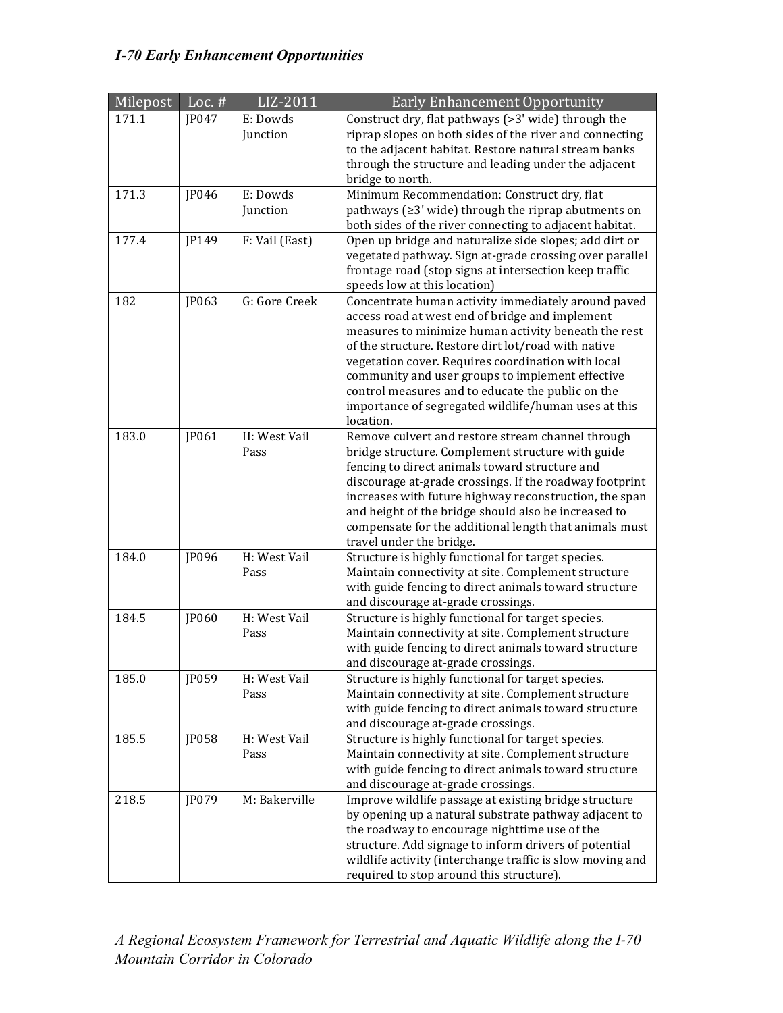# *I-70 Early Enhancement Opportunities*

| Milepost | Loc. $#$ | LIZ-2011             | <b>Early Enhancement Opportunity</b>                                                                         |
|----------|----------|----------------------|--------------------------------------------------------------------------------------------------------------|
| 171.1    | JP047    | E: Dowds             | Construct dry, flat pathways (>3' wide) through the                                                          |
|          |          | Junction             | riprap slopes on both sides of the river and connecting                                                      |
|          |          |                      | to the adjacent habitat. Restore natural stream banks                                                        |
|          |          |                      | through the structure and leading under the adjacent<br>bridge to north.                                     |
| 171.3    | JP046    | E: Dowds             | Minimum Recommendation: Construct dry, flat                                                                  |
|          |          | Junction             | pathways ( $\geq$ 3' wide) through the riprap abutments on                                                   |
|          |          |                      | both sides of the river connecting to adjacent habitat.                                                      |
| 177.4    | JP149    | F: Vail (East)       | Open up bridge and naturalize side slopes; add dirt or                                                       |
|          |          |                      | vegetated pathway. Sign at-grade crossing over parallel                                                      |
|          |          |                      | frontage road (stop signs at intersection keep traffic                                                       |
|          |          |                      | speeds low at this location)                                                                                 |
| 182      | JP063    | G: Gore Creek        | Concentrate human activity immediately around paved                                                          |
|          |          |                      | access road at west end of bridge and implement                                                              |
|          |          |                      | measures to minimize human activity beneath the rest                                                         |
|          |          |                      | of the structure. Restore dirt lot/road with native                                                          |
|          |          |                      | vegetation cover. Requires coordination with local<br>community and user groups to implement effective       |
|          |          |                      | control measures and to educate the public on the                                                            |
|          |          |                      | importance of segregated wildlife/human uses at this                                                         |
|          |          |                      | location.                                                                                                    |
| 183.0    | JP061    | H: West Vail         | Remove culvert and restore stream channel through                                                            |
|          |          | Pass                 | bridge structure. Complement structure with guide                                                            |
|          |          |                      | fencing to direct animals toward structure and                                                               |
|          |          |                      | discourage at-grade crossings. If the roadway footprint                                                      |
|          |          |                      | increases with future highway reconstruction, the span                                                       |
|          |          |                      | and height of the bridge should also be increased to                                                         |
|          |          |                      | compensate for the additional length that animals must                                                       |
|          |          |                      | travel under the bridge.                                                                                     |
| 184.0    | JP096    | H: West Vail<br>Pass | Structure is highly functional for target species.                                                           |
|          |          |                      | Maintain connectivity at site. Complement structure<br>with guide fencing to direct animals toward structure |
|          |          |                      | and discourage at-grade crossings.                                                                           |
| 184.5    | JP060    | H: West Vail         | Structure is highly functional for target species.                                                           |
|          |          | Pass                 | Maintain connectivity at site. Complement structure                                                          |
|          |          |                      | with guide fencing to direct animals toward structure                                                        |
|          |          |                      | and discourage at-grade crossings.                                                                           |
| 185.0    | JP059    | H: West Vail         | Structure is highly functional for target species.                                                           |
|          |          | Pass                 | Maintain connectivity at site. Complement structure                                                          |
|          |          |                      | with guide fencing to direct animals toward structure                                                        |
|          |          |                      | and discourage at-grade crossings.                                                                           |
| 185.5    | JP058    | H: West Vail         | Structure is highly functional for target species.                                                           |
|          |          | Pass                 | Maintain connectivity at site. Complement structure                                                          |
|          |          |                      | with guide fencing to direct animals toward structure<br>and discourage at-grade crossings.                  |
| 218.5    | JP079    | M: Bakerville        | Improve wildlife passage at existing bridge structure                                                        |
|          |          |                      | by opening up a natural substrate pathway adjacent to                                                        |
|          |          |                      | the roadway to encourage nighttime use of the                                                                |
|          |          |                      | structure. Add signage to inform drivers of potential                                                        |
|          |          |                      | wildlife activity (interchange traffic is slow moving and                                                    |
|          |          |                      | required to stop around this structure).                                                                     |

*A Regional Ecosystem Framework for Terrestrial and Aquatic Wildlife along the I!70 Mountain Corridor in Colorado*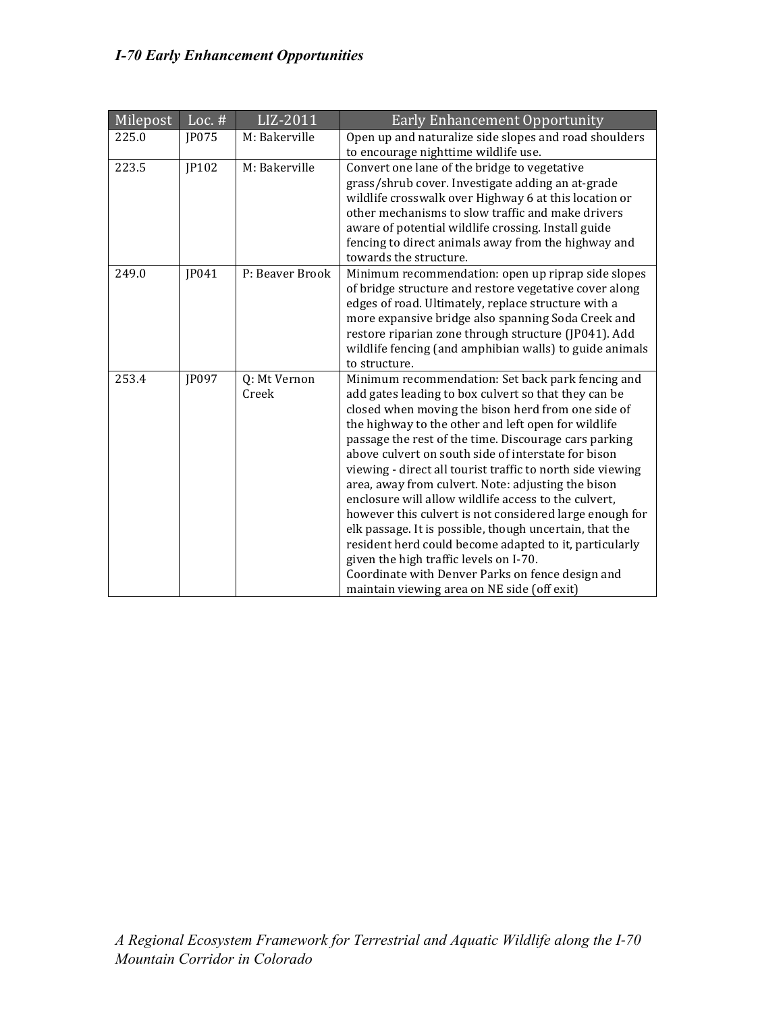| Milepost | Loc. $#$ | $\overline{LIZ-2011}$ | <b>Early Enhancement Opportunity</b>                                                                                                                                                                                                                                                                                                                                                                                                                                                                                                                                                                                                                                                                                                                                                                                                            |
|----------|----------|-----------------------|-------------------------------------------------------------------------------------------------------------------------------------------------------------------------------------------------------------------------------------------------------------------------------------------------------------------------------------------------------------------------------------------------------------------------------------------------------------------------------------------------------------------------------------------------------------------------------------------------------------------------------------------------------------------------------------------------------------------------------------------------------------------------------------------------------------------------------------------------|
| 225.0    | JP075    | M: Bakerville         | Open up and naturalize side slopes and road shoulders<br>to encourage nighttime wildlife use.                                                                                                                                                                                                                                                                                                                                                                                                                                                                                                                                                                                                                                                                                                                                                   |
| 223.5    | JP102    | M: Bakerville         | Convert one lane of the bridge to vegetative<br>grass/shrub cover. Investigate adding an at-grade<br>wildlife crosswalk over Highway 6 at this location or<br>other mechanisms to slow traffic and make drivers<br>aware of potential wildlife crossing. Install guide<br>fencing to direct animals away from the highway and<br>towards the structure.                                                                                                                                                                                                                                                                                                                                                                                                                                                                                         |
| 249.0    | JP041    | P: Beaver Brook       | Minimum recommendation: open up riprap side slopes<br>of bridge structure and restore vegetative cover along<br>edges of road. Ultimately, replace structure with a<br>more expansive bridge also spanning Soda Creek and<br>restore riparian zone through structure (JP041). Add<br>wildlife fencing (and amphibian walls) to guide animals<br>to structure.                                                                                                                                                                                                                                                                                                                                                                                                                                                                                   |
| 253.4    | JP097    | Q: Mt Vernon<br>Creek | Minimum recommendation: Set back park fencing and<br>add gates leading to box culvert so that they can be<br>closed when moving the bison herd from one side of<br>the highway to the other and left open for wildlife<br>passage the rest of the time. Discourage cars parking<br>above culvert on south side of interstate for bison<br>viewing - direct all tourist traffic to north side viewing<br>area, away from culvert. Note: adjusting the bison<br>enclosure will allow wildlife access to the culvert,<br>however this culvert is not considered large enough for<br>elk passage. It is possible, though uncertain, that the<br>resident herd could become adapted to it, particularly<br>given the high traffic levels on I-70.<br>Coordinate with Denver Parks on fence design and<br>maintain viewing area on NE side (off exit) |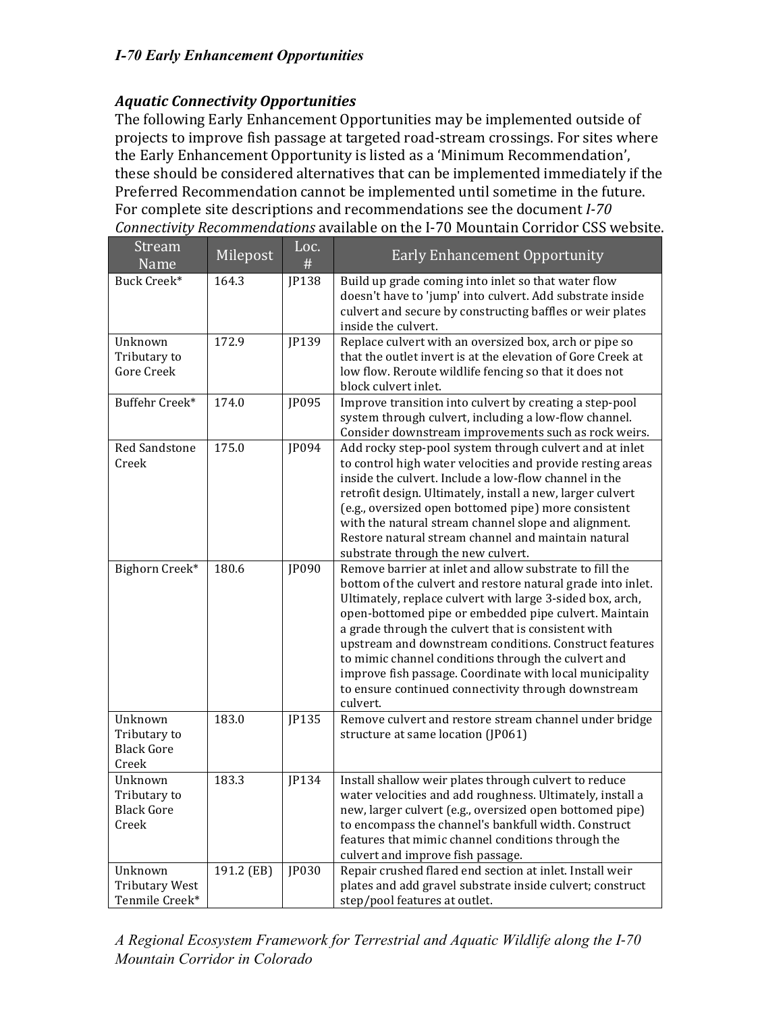### *I-70 Early Enhancement Opportunities*

### *Aquatic Connectivity)Opportunities*

The following Early Enhancement Opportunities may be implemented outside of projects to improve fish passage at targeted road-stream crossings. For sites where the Early Enhancement Opportunity is listed as a 'Minimum Recommendation', these should be considered alternatives that can be implemented immediately if the Preferred Recommendation cannot be implemented until sometime in the future. For complete site descriptions and recommendations see the document *I-70 Connectivity Recommendations* available on the I-70 Mountain Corridor CSS website.

| Stream<br>Name                                        | Milepost   | Loc.<br># | <b>Early Enhancement Opportunity</b>                                                                                                                                                                                                                                                                                                                                                                                                                                                                                                                |
|-------------------------------------------------------|------------|-----------|-----------------------------------------------------------------------------------------------------------------------------------------------------------------------------------------------------------------------------------------------------------------------------------------------------------------------------------------------------------------------------------------------------------------------------------------------------------------------------------------------------------------------------------------------------|
| Buck Creek*                                           | 164.3      | JP138     | Build up grade coming into inlet so that water flow<br>doesn't have to 'jump' into culvert. Add substrate inside<br>culvert and secure by constructing baffles or weir plates<br>inside the culvert.                                                                                                                                                                                                                                                                                                                                                |
| Unknown<br>Tributary to<br>Gore Creek                 | 172.9      | JP139     | Replace culvert with an oversized box, arch or pipe so<br>that the outlet invert is at the elevation of Gore Creek at<br>low flow. Reroute wildlife fencing so that it does not<br>block culvert inlet.                                                                                                                                                                                                                                                                                                                                             |
| Buffehr Creek*                                        | 174.0      | JP095     | Improve transition into culvert by creating a step-pool<br>system through culvert, including a low-flow channel.<br>Consider downstream improvements such as rock weirs.                                                                                                                                                                                                                                                                                                                                                                            |
| Red Sandstone<br>Creek                                | 175.0      | JP094     | Add rocky step-pool system through culvert and at inlet<br>to control high water velocities and provide resting areas<br>inside the culvert. Include a low-flow channel in the<br>retrofit design. Ultimately, install a new, larger culvert<br>(e.g., oversized open bottomed pipe) more consistent<br>with the natural stream channel slope and alignment.<br>Restore natural stream channel and maintain natural<br>substrate through the new culvert.                                                                                           |
| Bighorn Creek*                                        | 180.6      | JP090     | Remove barrier at inlet and allow substrate to fill the<br>bottom of the culvert and restore natural grade into inlet.<br>Ultimately, replace culvert with large 3-sided box, arch,<br>open-bottomed pipe or embedded pipe culvert. Maintain<br>a grade through the culvert that is consistent with<br>upstream and downstream conditions. Construct features<br>to mimic channel conditions through the culvert and<br>improve fish passage. Coordinate with local municipality<br>to ensure continued connectivity through downstream<br>culvert. |
| Unknown<br>Tributary to<br><b>Black Gore</b><br>Creek | 183.0      | JP135     | Remove culvert and restore stream channel under bridge<br>structure at same location (JP061)                                                                                                                                                                                                                                                                                                                                                                                                                                                        |
| Unknown<br>Tributary to<br><b>Black Gore</b><br>Creek | 183.3      | JP134     | Install shallow weir plates through culvert to reduce<br>water velocities and add roughness. Ultimately, install a<br>new, larger culvert (e.g., oversized open bottomed pipe)<br>to encompass the channel's bankfull width. Construct<br>features that mimic channel conditions through the<br>culvert and improve fish passage.                                                                                                                                                                                                                   |
| Unknown<br><b>Tributary West</b><br>Tenmile Creek*    | 191.2 (EB) | JP030     | Repair crushed flared end section at inlet. Install weir<br>plates and add gravel substrate inside culvert; construct<br>step/pool features at outlet.                                                                                                                                                                                                                                                                                                                                                                                              |

*A Regional Ecosystem Framework for Terrestrial and Aquatic Wildlife along the I!70 Mountain Corridor in Colorado*